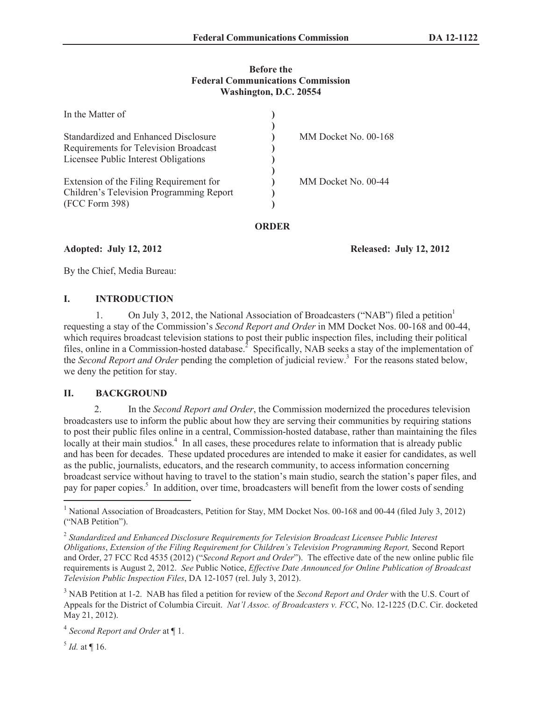## **Before the Federal Communications Commission Washington, D.C. 20554**

| In the Matter of                         |                      |
|------------------------------------------|----------------------|
|                                          |                      |
| Standardized and Enhanced Disclosure     | MM Docket No. 00-168 |
| Requirements for Television Broadcast    |                      |
| Licensee Public Interest Obligations     |                      |
| Extension of the Filing Requirement for  | MM Docket No. 00-44  |
| Children's Television Programming Report |                      |
| (FCC Form 398)                           |                      |

## **ORDER**

## **Adopted: July 12, 2012 Released: July 12, 2012**

By the Chief, Media Bureau:

# **I. INTRODUCTION**

On July 3, 2012, the National Association of Broadcasters ("NAB") filed a petition<sup>1</sup> requesting a stay of the Commission's *Second Report and Order* in MM Docket Nos. 00-168 and 00-44, which requires broadcast television stations to post their public inspection files, including their political files, online in a Commission-hosted database.<sup>2</sup> Specifically, NAB seeks a stay of the implementation of the *Second Report and Order* pending the completion of judicial review.<sup>3</sup> For the reasons stated below, we deny the petition for stay.

# **II. BACKGROUND**

2. In the *Second Report and Order*, the Commission modernized the procedures television broadcasters use to inform the public about how they are serving their communities by requiring stations to post their public files online in a central, Commission-hosted database, rather than maintaining the files locally at their main studios.<sup>4</sup> In all cases, these procedures relate to information that is already public and has been for decades. These updated procedures are intended to make it easier for candidates, as well as the public, journalists, educators, and the research community, to access information concerning broadcast service without having to travel to the station's main studio, search the station's paper files, and pay for paper copies.<sup>5</sup> In addition, over time, broadcasters will benefit from the lower costs of sending

 $^{5}$  *Id.* at  $\P$  16.

<sup>&</sup>lt;sup>1</sup> National Association of Broadcasters, Petition for Stay, MM Docket Nos. 00-168 and 00-44 (filed July 3, 2012) ("NAB Petition").

<sup>2</sup> *Standardized and Enhanced Disclosure Requirements for Television Broadcast Licensee Public Interest Obligations*, *Extension of the Filing Requirement for Children's Television Programming Report,* Second Report and Order, 27 FCC Rcd 4535 (2012) ("*Second Report and Order*"). The effective date of the new online public file requirements is August 2, 2012. *See* Public Notice, *Effective Date Announced for Online Publication of Broadcast Television Public Inspection Files*, DA 12-1057 (rel. July 3, 2012).

<sup>3</sup> NAB Petition at 1-2. NAB has filed a petition for review of the *Second Report and Order* with the U.S. Court of Appeals for the District of Columbia Circuit. *Nat'l Assoc. of Broadcasters v. FCC*, No. 12-1225 (D.C. Cir. docketed May 21, 2012).

<sup>4</sup> *Second Report and Order* at ¶ 1.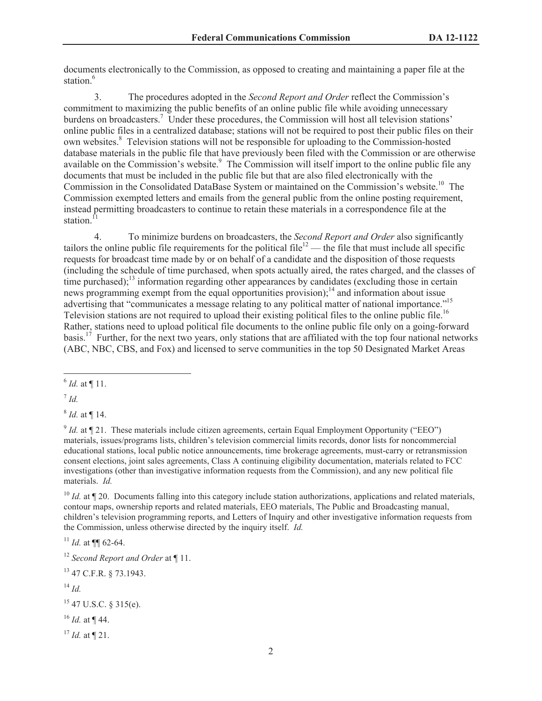documents electronically to the Commission, as opposed to creating and maintaining a paper file at the station<sup>6</sup>

3. The procedures adopted in the *Second Report and Order* reflect the Commission's commitment to maximizing the public benefits of an online public file while avoiding unnecessary burdens on broadcasters.<sup>7</sup> Under these procedures, the Commission will host all television stations' online public files in a centralized database; stations will not be required to post their public files on their own websites.<sup>8</sup> Television stations will not be responsible for uploading to the Commission-hosted database materials in the public file that have previously been filed with the Commission or are otherwise available on the Commission's website.<sup>9</sup> The Commission will itself import to the online public file any documents that must be included in the public file but that are also filed electronically with the Commission in the Consolidated DataBase System or maintained on the Commission's website.<sup>10</sup> The Commission exempted letters and emails from the general public from the online posting requirement, instead permitting broadcasters to continue to retain these materials in a correspondence file at the station.<sup>11</sup>

4. To minimize burdens on broadcasters, the *Second Report and Order* also significantly tailors the online public file requirements for the political file<sup>12</sup> — the file that must include all specific requests for broadcast time made by or on behalf of a candidate and the disposition of those requests (including the schedule of time purchased, when spots actually aired, the rates charged, and the classes of time purchased);<sup>13</sup> information regarding other appearances by candidates (excluding those in certain news programming exempt from the equal opportunities provision);<sup>14</sup> and information about issue advertising that "communicates a message relating to any political matter of national importance."<sup>15</sup> Television stations are not required to upload their existing political files to the online public file.<sup>16</sup> Rather, stations need to upload political file documents to the online public file only on a going-forward basis.<sup>17</sup> Further, for the next two years, only stations that are affiliated with the top four national networks (ABC, NBC, CBS, and Fox) and licensed to serve communities in the top 50 Designated Market Areas

7 *Id.*

8 *Id.* at ¶ 14.

 $^{9}$  *Id.* at  $\P$  21. These materials include citizen agreements, certain Equal Employment Opportunity ("EEO") materials, issues/programs lists, children's television commercial limits records, donor lists for noncommercial educational stations, local public notice announcements, time brokerage agreements, must-carry or retransmission consent elections, joint sales agreements, Class A continuing eligibility documentation, materials related to FCC investigations (other than investigative information requests from the Commission), and any new political file materials. *Id.*

<sup>10</sup> *Id.* at ¶ 20. Documents falling into this category include station authorizations, applications and related materials, contour maps, ownership reports and related materials, EEO materials, The Public and Broadcasting manual, children's television programming reports, and Letters of Inquiry and other investigative information requests from the Commission, unless otherwise directed by the inquiry itself. *Id.*

 $11$  *Id.* at **¶** 62-64.

<sup>13</sup> 47 C.F.R. § 73.1943.

<sup>14</sup> *Id.*

<sup>16</sup> *Id.* at ¶ 44.

 $17$  *Id.* at **[21.**]

 $^6$  *Id.* at  $\P$  11.

<sup>12</sup> *Second Report and Order* at ¶ 11.

 $15$  47 U.S.C. § 315(e).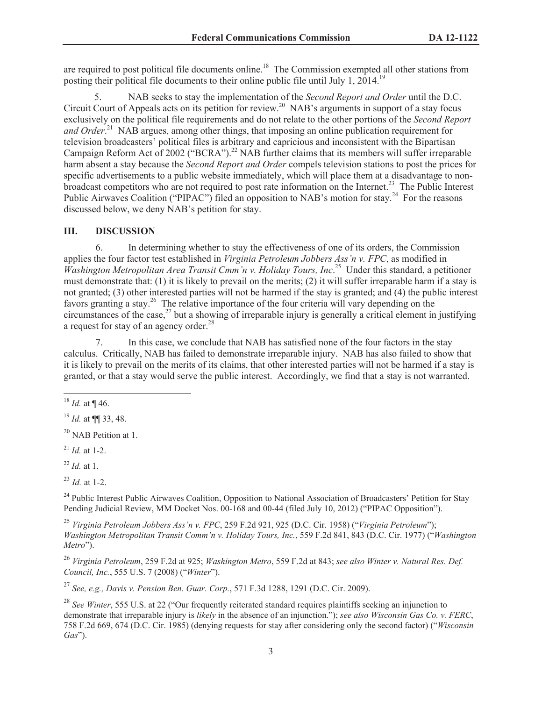are required to post political file documents online.<sup>18</sup> The Commission exempted all other stations from posting their political file documents to their online public file until July 1,  $2014$ .<sup>19</sup>

5. NAB seeks to stay the implementation of the *Second Report and Order* until the D.C. Circuit Court of Appeals acts on its petition for review.<sup>20</sup> NAB's arguments in support of a stay focus exclusively on the political file requirements and do not relate to the other portions of the *Second Report*  and Order.<sup>21</sup> NAB argues, among other things, that imposing an online publication requirement for television broadcasters' political files is arbitrary and capricious and inconsistent with the Bipartisan Campaign Reform Act of 2002 ("BCRA").<sup>22</sup> NAB further claims that its members will suffer irreparable harm absent a stay because the *Second Report and Order* compels television stations to post the prices for specific advertisements to a public website immediately, which will place them at a disadvantage to nonbroadcast competitors who are not required to post rate information on the Internet.<sup>23</sup> The Public Interest Public Airwaves Coalition ("PIPAC") filed an opposition to NAB's motion for stay.<sup>24</sup> For the reasons discussed below, we deny NAB's petition for stay.

#### **III. DISCUSSION**

6. In determining whether to stay the effectiveness of one of its orders, the Commission applies the four factor test established in *Virginia Petroleum Jobbers Ass'n v. FPC*, as modified in *Washington Metropolitan Area Transit Cmm'n v. Holiday Tours, Inc*. <sup>25</sup> Under this standard, a petitioner must demonstrate that: (1) it is likely to prevail on the merits; (2) it will suffer irreparable harm if a stay is not granted; (3) other interested parties will not be harmed if the stay is granted; and (4) the public interest favors granting a stay.<sup>26</sup> The relative importance of the four criteria will vary depending on the circumstances of the case, $^{27}$  but a showing of irreparable injury is generally a critical element in justifying a request for stay of an agency order.<sup>28</sup>

7. In this case, we conclude that NAB has satisfied none of the four factors in the stay calculus. Critically, NAB has failed to demonstrate irreparable injury. NAB has also failed to show that it is likely to prevail on the merits of its claims, that other interested parties will not be harmed if a stay is granted, or that a stay would serve the public interest. Accordingly, we find that a stay is not warranted.

<sup>22</sup> *Id.* at 1.

 $^{23}$  *Id.* at 1-2.

<sup>24</sup> Public Interest Public Airwaves Coalition, Opposition to National Association of Broadcasters' Petition for Stay Pending Judicial Review, MM Docket Nos. 00-168 and 00-44 (filed July 10, 2012) ("PIPAC Opposition").

<sup>25</sup> *Virginia Petroleum Jobbers Ass'n v. FPC*, 259 F.2d 921, 925 (D.C. Cir. 1958) ("*Virginia Petroleum*"); *Washington Metropolitan Transit Comm'n v. Holiday Tours, Inc.*, 559 F.2d 841, 843 (D.C. Cir. 1977) ("*Washington Metro*").

<sup>26</sup> *Virginia Petroleum*, 259 F.2d at 925; *Washington Metro*, 559 F.2d at 843; *see also Winter v. Natural Res. Def. Council, Inc.*, 555 U.S. 7 (2008) ("*Winter*").

<sup>27</sup> *See, e.g., Davis v. Pension Ben. Guar. Corp.*, 571 F.3d 1288, 1291 (D.C. Cir. 2009).

<sup>28</sup> *See Winter*, 555 U.S. at 22 ("Our frequently reiterated standard requires plaintiffs seeking an injunction to demonstrate that irreparable injury is *likely* in the absence of an injunction."); *see also Wisconsin Gas Co. v. FERC*, 758 F.2d 669, 674 (D.C. Cir. 1985) (denying requests for stay after considering only the second factor) ("*Wisconsin Gas*").

<sup>18</sup> *Id.* at ¶ 46.

<sup>19</sup> *Id.* at ¶¶ 33, 48.

<sup>&</sup>lt;sup>20</sup> NAB Petition at 1.

 $^{21}$  *Id.* at 1-2.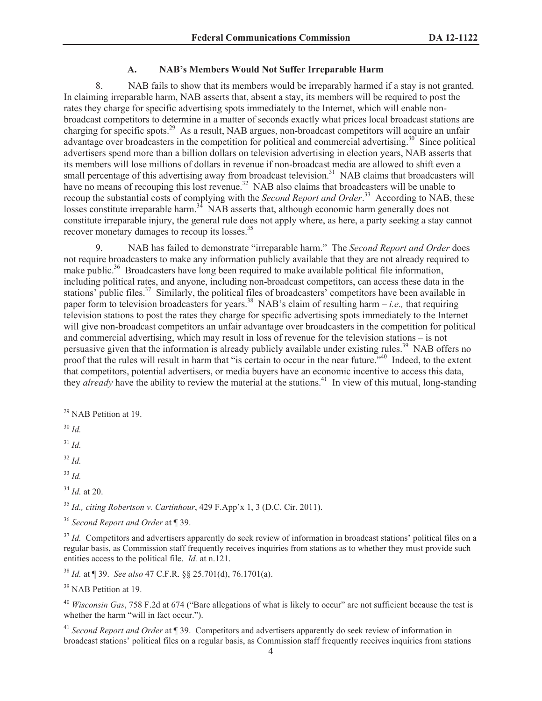## **A. NAB's Members Would Not Suffer Irreparable Harm**

8. NAB fails to show that its members would be irreparably harmed if a stay is not granted. In claiming irreparable harm, NAB asserts that, absent a stay, its members will be required to post the rates they charge for specific advertising spots immediately to the Internet, which will enable nonbroadcast competitors to determine in a matter of seconds exactly what prices local broadcast stations are charging for specific spots.<sup>29</sup> As a result, NAB argues, non-broadcast competitors will acquire an unfair advantage over broadcasters in the competition for political and commercial advertising.<sup>30</sup> Since political advertisers spend more than a billion dollars on television advertising in election years, NAB asserts that its members will lose millions of dollars in revenue if non-broadcast media are allowed to shift even a small percentage of this advertising away from broadcast television.<sup>31</sup> NAB claims that broadcasters will have no means of recouping this lost revenue.<sup>32</sup> NAB also claims that broadcasters will be unable to recoup the substantial costs of complying with the *Second Report and Order*.<sup>33</sup> According to NAB, these losses constitute irreparable harm.<sup>34</sup> NAB asserts that, although economic harm generally does not constitute irreparable injury, the general rule does not apply where, as here, a party seeking a stay cannot recover monetary damages to recoup its losses.<sup>35</sup>

9. NAB has failed to demonstrate "irreparable harm." The *Second Report and Order* does not require broadcasters to make any information publicly available that they are not already required to make public.<sup>36</sup> Broadcasters have long been required to make available political file information, including political rates, and anyone, including non-broadcast competitors, can access these data in the stations' public files.<sup>37</sup> Similarly, the political files of broadcasters' competitors have been available in paper form to television broadcasters for years.<sup>38</sup> NAB's claim of resulting harm – *i.e.*, that requiring television stations to post the rates they charge for specific advertising spots immediately to the Internet will give non-broadcast competitors an unfair advantage over broadcasters in the competition for political and commercial advertising, which may result in loss of revenue for the television stations – is not persuasive given that the information is already publicly available under existing rules.<sup>39</sup> NAB offers no proof that the rules will result in harm that "is certain to occur in the near future."<sup>40</sup> Indeed, to the extent that competitors, potential advertisers, or media buyers have an economic incentive to access this data, they *already* have the ability to review the material at the stations.<sup>41</sup> In view of this mutual, long-standing

<sup>32</sup> *Id.*

<sup>33</sup> *Id.*

<sup>34</sup> *Id.* at 20.

<sup>35</sup> *Id., citing Robertson v. Cartinhour*, 429 F.App'x 1, 3 (D.C. Cir. 2011).

<sup>36</sup> *Second Report and Order* at ¶ 39.

<sup>37</sup> *Id.* Competitors and advertisers apparently do seek review of information in broadcast stations' political files on a regular basis, as Commission staff frequently receives inquiries from stations as to whether they must provide such entities access to the political file. *Id.* at n.121.

<sup>38</sup> *Id.* at ¶ 39. *See also* 47 C.F.R. §§ 25.701(d), 76.1701(a).

<sup>39</sup> NAB Petition at 19.

<sup>40</sup> *Wisconsin Gas*, 758 F.2d at 674 ("Bare allegations of what is likely to occur" are not sufficient because the test is whether the harm "will in fact occur.").

<sup>41</sup> *Second Report and Order* at ¶ 39. Competitors and advertisers apparently do seek review of information in broadcast stations' political files on a regular basis, as Commission staff frequently receives inquiries from stations

<sup>&</sup>lt;sup>29</sup> NAB Petition at 19.

<sup>30</sup> *Id.*

<sup>31</sup> *Id.*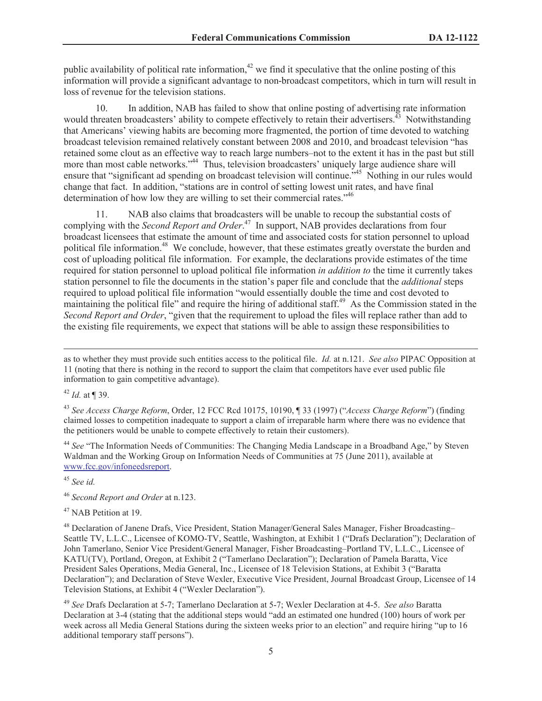public availability of political rate information,  $42$  we find it speculative that the online posting of this information will provide a significant advantage to non-broadcast competitors, which in turn will result in loss of revenue for the television stations.

10. In addition, NAB has failed to show that online posting of advertising rate information would threaten broadcasters' ability to compete effectively to retain their advertisers.<sup>43</sup> Notwithstanding that Americans' viewing habits are becoming more fragmented, the portion of time devoted to watching broadcast television remained relatively constant between 2008 and 2010, and broadcast television "has retained some clout as an effective way to reach large numbers–not to the extent it has in the past but still more than most cable networks."<sup>44</sup> Thus, television broadcasters' uniquely large audience share will ensure that "significant ad spending on broadcast television will continue."<sup>45</sup> Nothing in our rules would change that fact. In addition, "stations are in control of setting lowest unit rates, and have final determination of how low they are willing to set their commercial rates.<sup>"46</sup>

11. NAB also claims that broadcasters will be unable to recoup the substantial costs of complying with the *Second Report and Order*. <sup>47</sup> In support, NAB provides declarations from four broadcast licensees that estimate the amount of time and associated costs for station personnel to upload political file information.<sup>48</sup> We conclude, however, that these estimates greatly overstate the burden and cost of uploading political file information. For example, the declarations provide estimates of the time required for station personnel to upload political file information *in addition to* the time it currently takes station personnel to file the documents in the station's paper file and conclude that the *additional* steps required to upload political file information "would essentially double the time and cost devoted to maintaining the political file" and require the hiring of additional staff.<sup>49</sup> As the Commission stated in the *Second Report and Order*, "given that the requirement to upload the files will replace rather than add to the existing file requirements, we expect that stations will be able to assign these responsibilities to

as to whether they must provide such entities access to the political file. *Id.* at n.121. *See also* PIPAC Opposition at 11 (noting that there is nothing in the record to support the claim that competitors have ever used public file information to gain competitive advantage).

<sup>42</sup> *Id.* at ¶ 39.

<sup>43</sup> *See Access Charge Reform*, Order, 12 FCC Rcd 10175, 10190, ¶ 33 (1997) ("*Access Charge Reform*") (finding claimed losses to competition inadequate to support a claim of irreparable harm where there was no evidence that the petitioners would be unable to compete effectively to retain their customers).

<sup>44</sup> See "The Information Needs of Communities: The Changing Media Landscape in a Broadband Age," by Steven Waldman and the Working Group on Information Needs of Communities at 75 (June 2011), available at www.fcc.gov/infoneedsreport.

<sup>45</sup> *See id.*

<sup>46</sup> *Second Report and Order* at n.123.

<sup>47</sup> NAB Petition at 19.

<sup>48</sup> Declaration of Janene Drafs, Vice President, Station Manager/General Sales Manager, Fisher Broadcasting– Seattle TV, L.L.C., Licensee of KOMO-TV, Seattle, Washington, at Exhibit 1 ("Drafs Declaration"); Declaration of John Tamerlano, Senior Vice President/General Manager, Fisher Broadcasting–Portland TV, L.L.C., Licensee of KATU(TV), Portland, Oregon, at Exhibit 2 ("Tamerlano Declaration"); Declaration of Pamela Baratta, Vice President Sales Operations, Media General, Inc., Licensee of 18 Television Stations, at Exhibit 3 ("Baratta Declaration"); and Declaration of Steve Wexler, Executive Vice President, Journal Broadcast Group, Licensee of 14 Television Stations, at Exhibit 4 ("Wexler Declaration").

<sup>49</sup> *See* Drafs Declaration at 5-7; Tamerlano Declaration at 5-7; Wexler Declaration at 4-5. *See also* Baratta Declaration at 3-4 (stating that the additional steps would "add an estimated one hundred (100) hours of work per week across all Media General Stations during the sixteen weeks prior to an election" and require hiring "up to 16 additional temporary staff persons").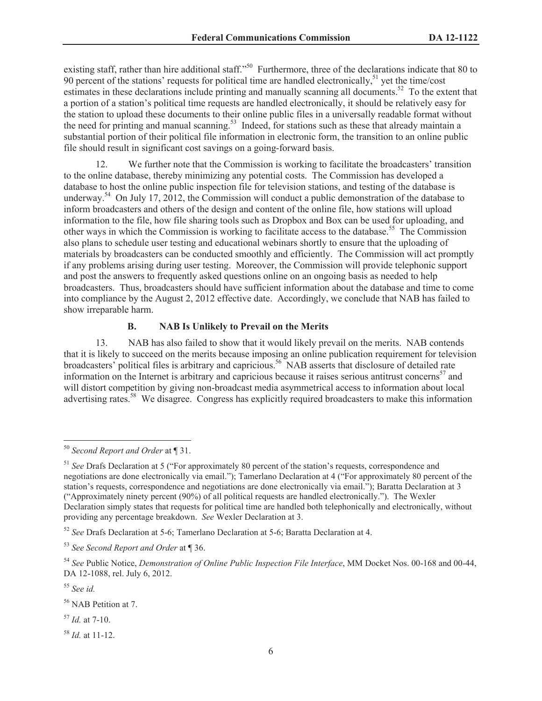existing staff, rather than hire additional staff."<sup>50</sup> Furthermore, three of the declarations indicate that 80 to 90 percent of the stations' requests for political time are handled electronically,<sup>51</sup> yet the time/cost estimates in these declarations include printing and manually scanning all documents.<sup>52</sup> To the extent that a portion of a station's political time requests are handled electronically, it should be relatively easy for the station to upload these documents to their online public files in a universally readable format without the need for printing and manual scanning.<sup>53</sup> Indeed, for stations such as these that already maintain a substantial portion of their political file information in electronic form, the transition to an online public file should result in significant cost savings on a going-forward basis.

We further note that the Commission is working to facilitate the broadcasters' transition to the online database, thereby minimizing any potential costs. The Commission has developed a database to host the online public inspection file for television stations, and testing of the database is underway.<sup>54</sup> On July 17, 2012, the Commission will conduct a public demonstration of the database to inform broadcasters and others of the design and content of the online file, how stations will upload information to the file, how file sharing tools such as Dropbox and Box can be used for uploading, and other ways in which the Commission is working to facilitate access to the database.<sup>55</sup> The Commission also plans to schedule user testing and educational webinars shortly to ensure that the uploading of materials by broadcasters can be conducted smoothly and efficiently. The Commission will act promptly if any problems arising during user testing. Moreover, the Commission will provide telephonic support and post the answers to frequently asked questions online on an ongoing basis as needed to help broadcasters. Thus, broadcasters should have sufficient information about the database and time to come into compliance by the August 2, 2012 effective date. Accordingly, we conclude that NAB has failed to show irreparable harm.

### **B. NAB Is Unlikely to Prevail on the Merits**

13. NAB has also failed to show that it would likely prevail on the merits. NAB contends that it is likely to succeed on the merits because imposing an online publication requirement for television broadcasters' political files is arbitrary and capricious.<sup>56</sup> NAB asserts that disclosure of detailed rate information on the Internet is arbitrary and capricious because it raises serious antitrust concerns<sup>57</sup> and will distort competition by giving non-broadcast media asymmetrical access to information about local advertising rates.<sup>58</sup> We disagree. Congress has explicitly required broadcasters to make this information

<sup>50</sup> *Second Report and Order* at ¶ 31.

<sup>51</sup> *See* Drafs Declaration at 5 ("For approximately 80 percent of the station's requests, correspondence and negotiations are done electronically via email."); Tamerlano Declaration at 4 ("For approximately 80 percent of the station's requests, correspondence and negotiations are done electronically via email."); Baratta Declaration at 3 ("Approximately ninety percent (90%) of all political requests are handled electronically."). The Wexler Declaration simply states that requests for political time are handled both telephonically and electronically, without providing any percentage breakdown. *See* Wexler Declaration at 3.

<sup>52</sup> *See* Drafs Declaration at 5-6; Tamerlano Declaration at 5-6; Baratta Declaration at 4.

<sup>53</sup> *See Second Report and Order* at ¶ 36.

<sup>54</sup> *See* Public Notice, *Demonstration of Online Public Inspection File Interface*, MM Docket Nos. 00-168 and 00-44, DA 12-1088, rel. July 6, 2012.

<sup>55</sup> *See id.*

<sup>56</sup> NAB Petition at 7.

<sup>57</sup> *Id.* at 7-10.

<sup>58</sup> *Id.* at 11-12.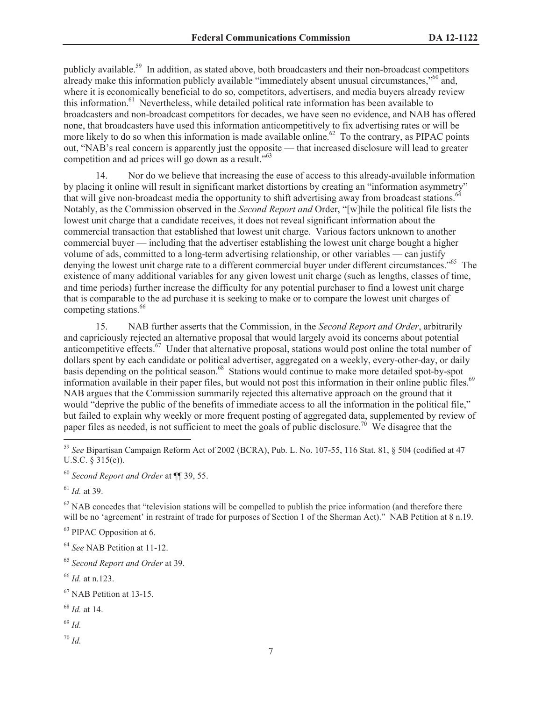publicly available.<sup>59</sup> In addition, as stated above, both broadcasters and their non-broadcast competitors already make this information publicly available "immediately absent unusual circumstances,"<sup>60</sup> and, where it is economically beneficial to do so, competitors, advertisers, and media buyers already review this information.<sup>61</sup> Nevertheless, while detailed political rate information has been available to broadcasters and non-broadcast competitors for decades, we have seen no evidence, and NAB has offered none, that broadcasters have used this information anticompetitively to fix advertising rates or will be more likely to do so when this information is made available online.<sup>62</sup> To the contrary, as PIPAC points out, "NAB's real concern is apparently just the opposite — that increased disclosure will lead to greater competition and ad prices will go down as a result.<sup>"63</sup>

14. Nor do we believe that increasing the ease of access to this already-available information by placing it online will result in significant market distortions by creating an "information asymmetry" that will give non-broadcast media the opportunity to shift advertising away from broadcast stations.<sup>64</sup> Notably, as the Commission observed in the *Second Report and* Order, "[w]hile the political file lists the lowest unit charge that a candidate receives, it does not reveal significant information about the commercial transaction that established that lowest unit charge. Various factors unknown to another commercial buyer — including that the advertiser establishing the lowest unit charge bought a higher volume of ads, committed to a long-term advertising relationship, or other variables — can justify denying the lowest unit charge rate to a different commercial buyer under different circumstances."<sup>65</sup> The existence of many additional variables for any given lowest unit charge (such as lengths, classes of time, and time periods) further increase the difficulty for any potential purchaser to find a lowest unit charge that is comparable to the ad purchase it is seeking to make or to compare the lowest unit charges of competing stations.<sup>66</sup>

15. NAB further asserts that the Commission, in the *Second Report and Order*, arbitrarily and capriciously rejected an alternative proposal that would largely avoid its concerns about potential anticompetitive effects.<sup>67</sup> Under that alternative proposal, stations would post online the total number of dollars spent by each candidate or political advertiser, aggregated on a weekly, every-other-day, or daily basis depending on the political season.<sup>68</sup> Stations would continue to make more detailed spot-by-spot information available in their paper files, but would not post this information in their online public files.<sup>69</sup> NAB argues that the Commission summarily rejected this alternative approach on the ground that it would "deprive the public of the benefits of immediate access to all the information in the political file," but failed to explain why weekly or more frequent posting of aggregated data, supplemented by review of paper files as needed, is not sufficient to meet the goals of public disclosure.<sup>70</sup> We disagree that the

<sup>60</sup> *Second Report and Order* at ¶¶ 39, 55.

<sup>61</sup> *Id.* at 39.

 $62$  NAB concedes that "television stations will be compelled to publish the price information (and therefore there will be no 'agreement' in restraint of trade for purposes of Section 1 of the Sherman Act)." NAB Petition at 8 n.19.

<sup>63</sup> PIPAC Opposition at 6.

<sup>64</sup> *See* NAB Petition at 11-12.

<sup>65</sup> *Second Report and Order* at 39.

<sup>66</sup> *Id.* at n.123.

<sup>67</sup> NAB Petition at 13-15.

<sup>68</sup> *Id.* at 14.

<sup>69</sup> *Id.*

<sup>70</sup> *Id.*

<sup>59</sup> *See* Bipartisan Campaign Reform Act of 2002 (BCRA), Pub. L. No. 107-55, 116 Stat. 81, § 504 (codified at 47 U.S.C. § 315(e)).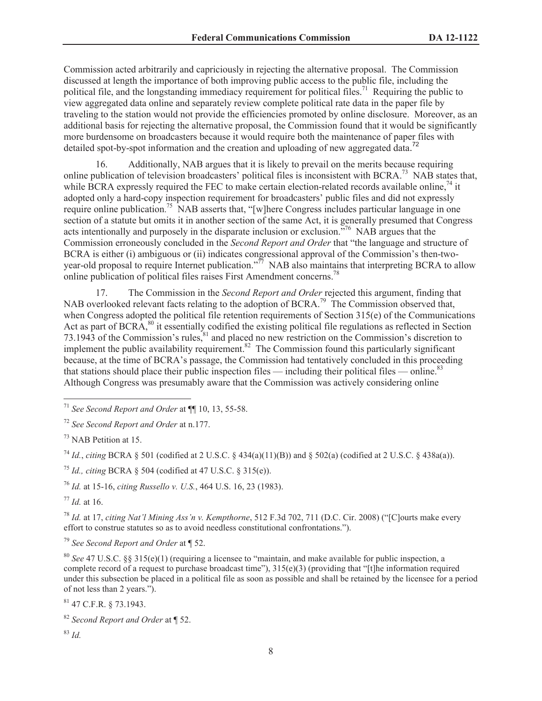Commission acted arbitrarily and capriciously in rejecting the alternative proposal. The Commission discussed at length the importance of both improving public access to the public file, including the political file, and the longstanding immediacy requirement for political files.<sup>71</sup> Requiring the public to view aggregated data online and separately review complete political rate data in the paper file by traveling to the station would not provide the efficiencies promoted by online disclosure. Moreover, as an additional basis for rejecting the alternative proposal, the Commission found that it would be significantly more burdensome on broadcasters because it would require both the maintenance of paper files with detailed spot-by-spot information and the creation and uploading of new aggregated data.<sup>72</sup>

16. Additionally, NAB argues that it is likely to prevail on the merits because requiring online publication of television broadcasters' political files is inconsistent with BCRA.<sup>73</sup> NAB states that, while BCRA expressly required the FEC to make certain election-related records available online,<sup>74</sup> it adopted only a hard-copy inspection requirement for broadcasters' public files and did not expressly require online publication.<sup>75</sup> NAB asserts that, "[w]here Congress includes particular language in one section of a statute but omits it in another section of the same Act, it is generally presumed that Congress acts intentionally and purposely in the disparate inclusion or exclusion."<sup>76</sup> NAB argues that the Commission erroneously concluded in the *Second Report and Order* that "the language and structure of BCRA is either (i) ambiguous or (ii) indicates congressional approval of the Commission's then-twoyear-old proposal to require Internet publication."<sup>77</sup> NAB also maintains that interpreting BCRA to allow online publication of political files raises First Amendment concerns.<sup>78</sup>

17. The Commission in the *Second Report and Order* rejected this argument, finding that NAB overlooked relevant facts relating to the adoption of BCRA.<sup>79</sup> The Commission observed that, when Congress adopted the political file retention requirements of Section 315(e) of the Communications Act as part of BCRA,<sup>80</sup> it essentially codified the existing political file regulations as reflected in Section 73.1943 of the Commission's rules, ${}^{81}$  and placed no new restriction on the Commission's discretion to implement the public availability requirement.<sup>82</sup> The Commission found this particularly significant because, at the time of BCRA's passage, the Commission had tentatively concluded in this proceeding that stations should place their public inspection files — including their political files — online.<sup>83</sup> Although Congress was presumably aware that the Commission was actively considering online

<sup>73</sup> NAB Petition at 15.

<sup>74</sup> *Id.*, *citing* BCRA  $\S$  501 (codified at 2 U.S.C.  $\S$  434(a)(11)(B)) and  $\S$  502(a) (codified at 2 U.S.C.  $\S$  438a(a)).

<sup>75</sup> *Id., citing* BCRA § 504 (codified at 47 U.S.C. § 315(e)).

<sup>76</sup> *Id.* at 15-16, *citing Russello v. U.S.*, 464 U.S. 16, 23 (1983).

 $177$  *Id.* at 16.

<sup>78</sup> *Id.* at 17, *citing Nat'l Mining Ass'n v. Kempthorne*, 512 F.3d 702, 711 (D.C. Cir. 2008) ("[C]ourts make every effort to construe statutes so as to avoid needless constitutional confrontations.").

<sup>79</sup> *See Second Report and Order* at ¶ 52.

<sup>80</sup> *See* 47 U.S.C. §§ 315(e)(1) (requiring a licensee to "maintain, and make available for public inspection, a complete record of a request to purchase broadcast time"),  $315(e)(3)$  (providing that "[t]he information required under this subsection be placed in a political file as soon as possible and shall be retained by the licensee for a period of not less than 2 years.").

<sup>81</sup> 47 C.F.R. § 73.1943.

<sup>83</sup> *Id.*

<sup>71</sup> *See Second Report and Order* at ¶¶ 10, 13, 55-58.

<sup>72</sup> *See Second Report and Order* at n.177.

<sup>82</sup> *Second Report and Order* at ¶ 52.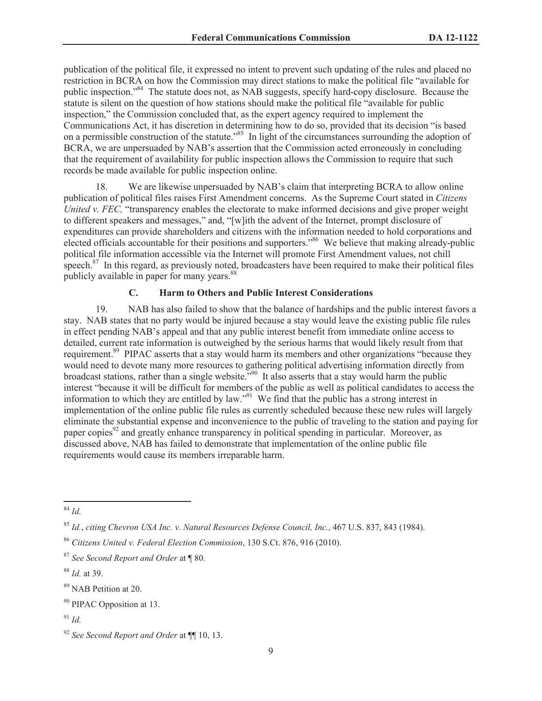publication of the political file, it expressed no intent to prevent such updating of the rules and placed no restriction in BCRA on how the Commission may direct stations to make the political file "available for public inspection."<sup>84</sup> The statute does not, as NAB suggests, specify hard-copy disclosure. Because the statute is silent on the question of how stations should make the political file "available for public inspection," the Commission concluded that, as the expert agency required to implement the Communications Act, it has discretion in determining how to do so, provided that its decision "is based on a permissible construction of the statute.<sup>855</sup> In light of the circumstances surrounding the adoption of BCRA, we are unpersuaded by NAB's assertion that the Commission acted erroneously in concluding that the requirement of availability for public inspection allows the Commission to require that such records be made available for public inspection online.

18. We are likewise unpersuaded by NAB's claim that interpreting BCRA to allow online publication of political files raises First Amendment concerns. As the Supreme Court stated in *Citizens United v. FEC,* "transparency enables the electorate to make informed decisions and give proper weight to different speakers and messages," and, "[w]ith the advent of the Internet, prompt disclosure of expenditures can provide shareholders and citizens with the information needed to hold corporations and elected officials accountable for their positions and supporters."<sup>86</sup> We believe that making already-public political file information accessible via the Internet will promote First Amendment values, not chill speech.<sup>87</sup> In this regard, as previously noted, broadcasters have been required to make their political files publicly available in paper for many years.<sup>88</sup>

# **C. Harm to Others and Public Interest Considerations**

19. NAB has also failed to show that the balance of hardships and the public interest favors a stay. NAB states that no party would be injured because a stay would leave the existing public file rules in effect pending NAB's appeal and that any public interest benefit from immediate online access to detailed, current rate information is outweighed by the serious harms that would likely result from that requirement.<sup>89</sup> PIPAC asserts that a stay would harm its members and other organizations "because they would need to devote many more resources to gathering political advertising information directly from broadcast stations, rather than a single website."<sup>90</sup> It also asserts that a stay would harm the public interest "because it will be difficult for members of the public as well as political candidates to access the information to which they are entitled by law."<sup>91</sup> We find that the public has a strong interest in implementation of the online public file rules as currently scheduled because these new rules will largely eliminate the substantial expense and inconvenience to the public of traveling to the station and paying for paper copies<sup>92</sup> and greatly enhance transparency in political spending in particular. Moreover, as discussed above, NAB has failed to demonstrate that implementation of the online public file requirements would cause its members irreparable harm.

<sup>84</sup> *Id.*

<sup>85</sup> *Id.*, *citing Chevron USA Inc. v. Natural Resources Defense Council, Inc.*, 467 U.S. 837, 843 (1984).

<sup>86</sup> *Citizens United v. Federal Election Commission*, 130 S.Ct. 876, 916 (2010).

<sup>87</sup> *See Second Report and Order* at ¶ 80.

<sup>88</sup> *Id.* at 39.

<sup>&</sup>lt;sup>89</sup> NAB Petition at 20.

<sup>&</sup>lt;sup>90</sup> PIPAC Opposition at 13.

<sup>91</sup> *Id.*

<sup>92</sup> *See Second Report and Order* at ¶¶ 10, 13.